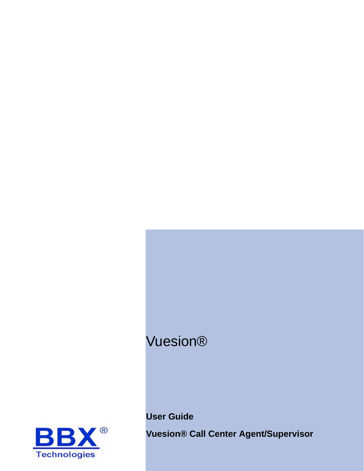# Vuesion®





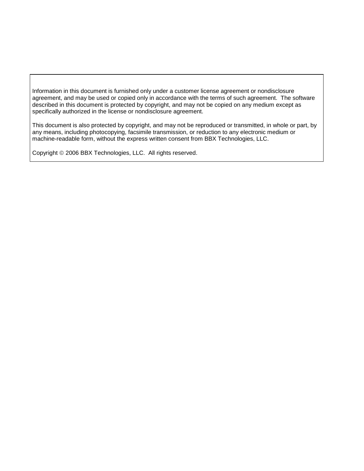Information in this document is furnished only under a customer license agreement or nondisclosure agreement, and may be used or copied only in accordance with the terms of such agreement. The software described in this document is protected by copyright, and may not be copied on any medium except as specifically authorized in the license or nondisclosure agreement.

This document is also protected by copyright, and may not be reproduced or transmitted, in whole or part, by any means, including photocopying, facsimile transmission, or reduction to any electronic medium or machine-readable form, without the express written consent from BBX Technologies, LLC.

Copyright © 2006 BBX Technologies, LLC. All rights reserved.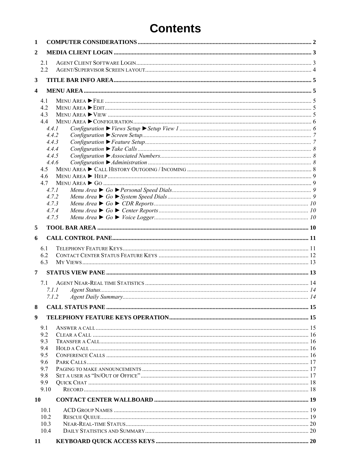## **Contents**

| 1            |                |  |
|--------------|----------------|--|
| $\mathbf{2}$ |                |  |
|              | 2.1            |  |
|              | 2.2            |  |
| 3            |                |  |
| 4            |                |  |
|              | 4.1            |  |
|              | 4.2            |  |
|              | 4.3            |  |
|              | 4.4            |  |
|              | 4.4.1          |  |
|              | 4.4.2          |  |
|              | 4.4.3          |  |
|              | 4.4.4          |  |
|              | 4.4.5          |  |
|              | 4.4.6          |  |
|              | 4.5            |  |
|              | 4.6            |  |
|              | 4.7            |  |
|              | 4.7.1          |  |
|              | 4.7.2          |  |
|              | 4.7.3<br>4.7.4 |  |
|              | 4.7.5          |  |
|              |                |  |
| 5            |                |  |
| 6            |                |  |
|              | 6.1            |  |
|              | 6.2            |  |
|              | 6.3            |  |
|              |                |  |
| 7            |                |  |
|              | 7.1            |  |
|              | 7.1.1          |  |
|              | 7.1.2          |  |
| 8            |                |  |
| 9            |                |  |
|              |                |  |
|              | 9.1            |  |
|              | 9.2            |  |
|              | 9.3<br>9.4     |  |
|              | 9.5            |  |
|              | 9.6            |  |
|              | 9.7            |  |
|              | 9.8            |  |
|              | 9.9            |  |
|              | 9.10           |  |
| 10           |                |  |
|              |                |  |
|              | 10.1<br>10.2   |  |
|              | 10.3           |  |
|              | 10.4           |  |
|              |                |  |
| 11           |                |  |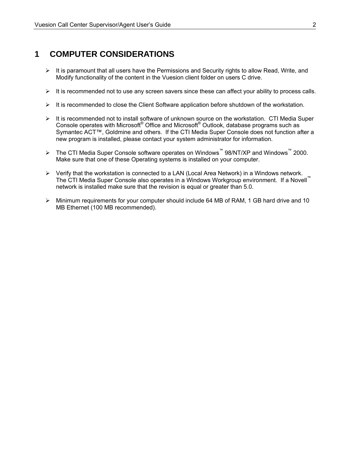### **1 COMPUTER CONSIDERATIONS**

- $\triangleright$  It is paramount that all users have the Permissions and Security rights to allow Read, Write, and Modify functionality of the content in the Vuesion client folder on users C drive.
- $\triangleright$  It is recommended not to use any screen savers since these can affect your ability to process calls.
- $\triangleright$  It is recommended to close the Client Software application before shutdown of the workstation.
- $\triangleright$  It is recommended not to install software of unknown source on the workstation. CTI Media Super Console operates with Microsoft® Office and Microsoft® Outlook, database programs such as Symantec ACT™, Goldmine and others. If the CTI Media Super Console does not function after a new program is installed, please contact your system administrator for information.
- ¾ The CTI Media Super Console software operates on Windows™ 98/NT/XP and Windows™ 2000. Make sure that one of these Operating systems is installed on your computer.
- ¾ Verify that the workstation is connected to a LAN (Local Area Network) in a Windows network. The CTI Media Super Console also operates in a Windows Workgroup environment. If a Novell<sup>™</sup> network is installed make sure that the revision is equal or greater than 5.0.
- $\triangleright$  Minimum requirements for your computer should include 64 MB of RAM, 1 GB hard drive and 10 MB Ethernet (100 MB recommended).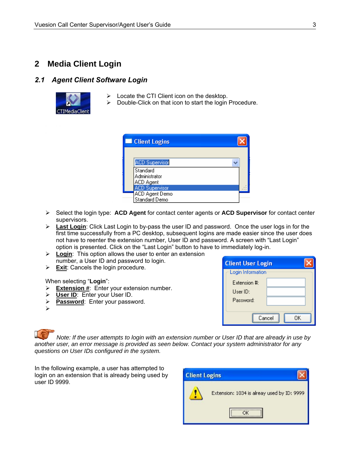### **2 Media Client Login**

#### *2.1 Agent Client Software Login*



- $\triangleright$  Locate the CTI Client icon on the desktop.
- $\triangleright$  Double-Click on that icon to start the login Procedure.



- ¾ Select the login type: **ACD Agent** for contact center agents or **ACD Supervisor** for contact center supervisors.
- ¾ **Last Login**: Click Last Login to by-pass the user ID and password. Once the user logs in for the first time successfully from a PC desktop, subsequent logins are made easier since the user does not have to reenter the extension number, User ID and password. A screen with "Last Login" option is presented. Click on the "Last Login" button to have to immediately log-in.
- ¾ **Login**: This option allows the user to enter an extension number, a User ID and password to login.
- ¾ **Exit**: Cancels the login procedure.

When selecting "**Login**":

- ¾ **Extension #**: Enter your extension number.
- ¾ **User ID**: Enter your User ID.
- ¾ **Password**: Enter your password.

¾

| <b>Client User Login</b> |    |  |  |  |  |  |
|--------------------------|----|--|--|--|--|--|
| Login Information        |    |  |  |  |  |  |
| Extension #:             |    |  |  |  |  |  |
| Use <sub>1D</sub>        |    |  |  |  |  |  |
| Password:                |    |  |  |  |  |  |
|                          |    |  |  |  |  |  |
| Cancel                   | ΠK |  |  |  |  |  |

*Note: If the user attempts to login with an extension number or User ID that are already in use by another user, an error message is provided as seen below. Contact your system administrator for any questions on User IDs configured in the system.* 

In the following example, a user has attempted to login on an extension that is already being used by user ID 9999.

| <b>Client Logins</b> |                                            |
|----------------------|--------------------------------------------|
|                      | Extension: 1034 is alreay used by ID: 9999 |
|                      |                                            |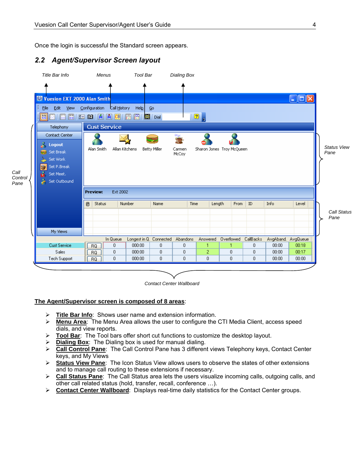Once the login is successful the Standard screen appears.

#### *2.2 Agent/Supervisor Screen layout*

*Call* 



*Contact Center Wallboard*

#### **The Agent/Supervisor screen is composed of 8 areas**:

- ¾ **Title Bar Info**: Shows user name and extension information.
- ¾ **Menu Area**: The Menu Area allows the user to configure the CTI Media Client, access speed dials, and view reports.
- ¾ **Tool Bar**: The Tool bars offer short cut functions to customize the desktop layout.
- ¾ **Dialing Box**: The Dialing box is used for manual dialing.
- ¾ **Call Control Pane**: The Call Control Pane has 3 different views Telephony keys, Contact Center keys, and My Views
- ¾ **Status View Pane**: The Icon Status View allows users to observe the states of other extensions and to manage call routing to these extensions if necessary.
- ¾ **Call Status Pane**: The Call Status area lets the users visualize incoming calls, outgoing calls, and other call related status (hold, transfer, recall, conference …).
- ¾ **Contact Center Wallboard**: Displays real-time daily statistics for the Contact Center groups.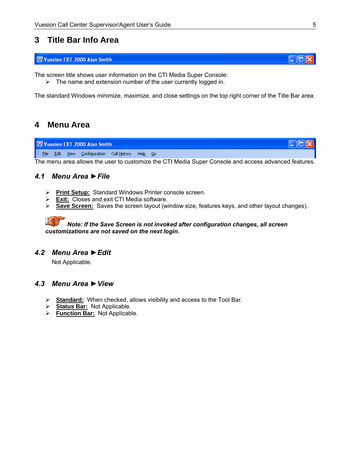### **3 Title Bar Info Area**

#### Vuesion EXT 2000 Alan Smith

The screen title shows user information on the CTI Media Super Console:

 $\triangleright$  The name and extension number of the user currently logged in.

The standard Windows minimize, maximize, and close settings on the top right corner of the Title Bar area.

### **4 Menu Area**

Vuesion EXT 2000 Alan Smith  $\mathsf{L}\boxdot\mathsf{X}$ : File Edit View Configuration Call History Help Go

The menu area allows the user to customize the CTI Media Super Console and access advanced features.

#### *4.1 Menu Area ►File*

- ¾ **Print Setup:** Standard Windows Printer console screen.
- ¾ **Exit:** Closes and exit CTI Media software.
- ¾ **Save Screen:** Saves the screen layout (window size, features keys, and other layout changes).

#### *Note: If the Save Screen is not invoked after configuration changes, all screen customizations are not saved on the next login.*

#### *4.2 Menu Area ►Edit*

Not Applicable.

#### *4.3 Menu Area ►View*

- ¾ **Standard:** When checked, allows visibility and access to the Tool Bar.
- ¾ **Status Bar:** Not Applicable.
- ¾ **Function Bar:** Not Applicable.

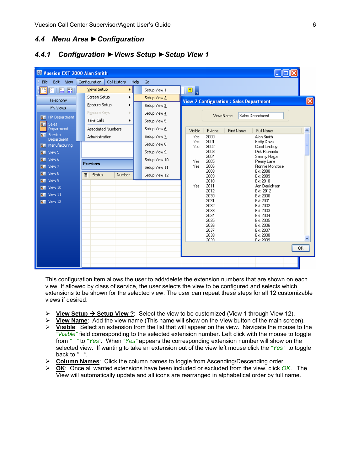#### *4.4 Menu Area ►Configuration*

#### *4.4.1 Configuration ►Views Setup ►Setup View 1*

| Vuesion EXT 2000 Alan Smith                |                         |                           |               |               |                |              |                                               |                                     |                      |
|--------------------------------------------|-------------------------|---------------------------|---------------|---------------|----------------|--------------|-----------------------------------------------|-------------------------------------|----------------------|
| ÷<br>Edit<br>Eile<br>View                  | Configuration           | Call History              | Help          | Go            |                |              |                                               |                                     |                      |
| ■ 图   圖 圖<br>Н                             | <b>Views Setup</b><br>▶ |                           |               | Setup View 1  | 2 <sub>z</sub> |              |                                               |                                     |                      |
| Telephony                                  | Screen Setup            | ×.                        |               | Setup View 2  |                |              | <b>View 2 Configuration: Sales Department</b> |                                     | $\boxed{\mathsf{x}}$ |
| My Views                                   | Feature Setup           | ٠                         |               | Setup View 3  |                |              |                                               |                                     |                      |
|                                            | Feature Keys            |                           |               | Setup View 4  |                | View Name:   |                                               | Sales Department                    |                      |
| <b>SE</b> HR Department<br><b>BE</b> Sales | Take Calls              | ▶                         |               | Setup View 5  |                |              |                                               |                                     |                      |
| <b>Department</b>                          |                         | <b>Associated Numbers</b> |               | Setup View 6  | Visible        | Extens       | <b>First Name</b>                             | Full Name                           | $\hat{\phantom{a}}$  |
| <b>SE</b> Service<br>Department            | Administration          |                           |               | Setup View Z  | Yes            | 2000         |                                               | Alan Smith                          |                      |
| <b>SE</b> Manufacturing                    |                         |                           |               | Setup View 8  | Yes<br>Yes     | 2001<br>2002 |                                               | <b>Betty Davis</b><br>Carol Lindsey |                      |
| View 5<br>$\overline{\mathbf{S}}$          |                         |                           |               | Setup View 9  |                | 2003         |                                               | <b>Dirk Richards</b>                |                      |
| <b>BE</b> View 6                           |                         |                           | Setup View 10 | Yes<br>Yes    | 2004<br>2005   |              | Sammy Hagar<br>Penny Lane                     |                                     |                      |
| <b>BE</b> View 7                           | <b>Preview:</b>         |                           |               |               | Setup View 11  | 2006         | Ronnie Montrose                               |                                     |                      |
| <b>BE</b> View 8                           | <b>Status</b><br>圓      | <b>Number</b>             |               | Setup View 12 |                | 2008<br>2009 |                                               | Ext 2008<br>Ext 2009                |                      |
| <b>BE</b> View 9                           |                         |                           |               |               |                | 2010<br>2011 |                                               | Ext 2010<br>Jon Derrickson          |                      |
| <b>RE</b> View 10                          |                         |                           |               |               | Yes            | 2012         |                                               | Ext 2012                            |                      |
| <b>BE</b> View 11                          |                         |                           |               |               |                | 2030         |                                               | Ext 2030                            |                      |
| $\overline{\mathbf{g}}$ Wiew 12            |                         |                           |               |               |                | 2031<br>2032 |                                               | Ext 2031<br>Ext 2032                |                      |
|                                            |                         |                           |               |               |                | 2033         |                                               | Ext 2033                            |                      |
|                                            |                         |                           |               |               |                | 2034         |                                               | Ext 2034                            |                      |
|                                            |                         |                           |               |               |                | 2035         |                                               | Ext 2035                            |                      |
|                                            |                         |                           |               |               |                | 2036         |                                               | Ext 2036                            |                      |
|                                            |                         |                           |               |               |                | 2037<br>2038 |                                               | Ext 2037<br>Ext 2038                |                      |
|                                            |                         |                           |               |               |                | 2039         |                                               | Fxt 2039                            |                      |
|                                            |                         |                           |               |               |                |              |                                               |                                     | 0K                   |
|                                            |                         |                           |               |               |                |              |                                               |                                     |                      |
|                                            |                         |                           |               |               |                |              |                                               |                                     |                      |
|                                            |                         |                           |               |               |                |              |                                               |                                     |                      |

This configuration item allows the user to add/delete the extension numbers that are shown on each view. If allowed by class of service, the user selects the view to be configured and selects which extensions to be shown for the selected view. The user can repeat these steps for all 12 customizable views if desired.

- **<u>View Setup**  $\rightarrow$  **Setup View ?</u>**: Select the view to be customized (View 1 through View 12).
- ¾ **View Name**: Add the view name (This name will show on the View button of the main screen).
- ¾ **Visible**: Select an extension from the list that will appear on the view. Navigate the mouse to the *"Visible"* field corresponding to the selected extension number. Left click with the mouse to toggle from *" "* to *"Yes".* When *"Yes"* appears the corresponding extension number will show on the selected view. If wanting to take an extension out of the view left mouse click the *"Yes"* to toggle back to ".
- ¾ **Column Names**: Click the column names to toggle from Ascending/Descending order.
- ¾ **OK**: Once all wanted extensions have been included or excluded from the view, click *OK*. The View will automatically update and all icons are rearranged in alphabetical order by full name.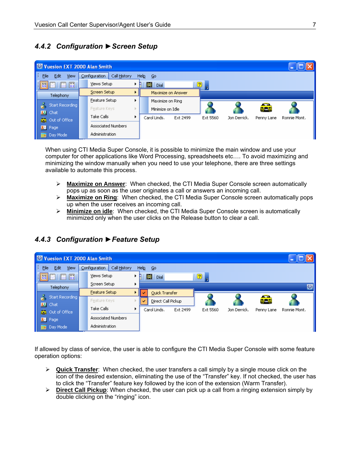#### *4.4.2 Configuration ►Screen Setup*

| Vuesion EXT 2000 Alan Smith                                                 |  |                           |  |                    |          |          |              |            |              |
|-----------------------------------------------------------------------------|--|---------------------------|--|--------------------|----------|----------|--------------|------------|--------------|
| B.<br>Eile<br>Edit<br>Configuration<br>Call History<br>Help<br>View<br>- Go |  |                           |  |                    |          |          |              |            |              |
| 日田園<br>圖<br>圖                                                               |  | Views Setup               |  | 圝<br>Dial          |          | 2)       |              |            |              |
| Telephony                                                                   |  | Screen Setup              |  | Maximize on Answer |          |          |              |            |              |
|                                                                             |  | Feature Setup             |  | Maximize on Ring   |          |          |              |            |              |
| Start Recording<br><b>33</b> Chat                                           |  | Feature Keys              |  | Minimize on Idle   |          |          |              | فية        |              |
| Out of Office                                                               |  | Take Calls                |  | Carol Linds.       | Ext 2499 | Ext 5560 | Jon Derrick. | Penny Lane | Ronnie Mont. |
| <b>R</b> Page                                                               |  | <b>Associated Numbers</b> |  |                    |          |          |              |            |              |
| Day Mode<br>4H                                                              |  | Administration            |  |                    |          |          |              |            |              |

When using CTI Media Super Console, it is possible to minimize the main window and use your computer for other applications like Word Processing, spreadsheets etc…. To avoid maximizing and minimizing the window manually when you need to use your telephone, there are three settings available to automate this process.

- ¾ **Maximize on Answer**: When checked, the CTI Media Super Console screen automatically pops up as soon as the user originates a call or answers an incoming call.
- ¾ **Maximize on Ring**: When checked, the CTI Media Super Console screen automatically pops up when the user receives an incoming call.
- ¾ **Minimize on idle**: When checked, the CTI Media Super Console screen is automatically minimized only when the user clicks on the Release button to clear a call.

#### Vuesion EXT 2000 Alan Smith . 16 File Edit View Configuration | Call History  $\mathsf{Help} = \mathsf{Go}$ 圈圖圖 Views Setup **BB** ▶ **M** Dial  $\boxed{2}$ Screen Setup k  $\overline{\mathbf{C}}$ Telephony Feature Setup ¥ Quick Transfer Start Recording agua Feature Keys Direct Call Pickup **B3** Chat Take Calls ٠ Carol Linds. Ext 2499 Ext 5560 Jon Derrick. Penny Lane Ronnie Mont. Out of Office **Associated Numbers R**<sup>m</sup> Page Administration **Day Mode**

### *4.4.3 Configuration ►Feature Setup*

If allowed by class of service, the user is able to configure the CTI Media Super Console with some feature operation options:

- ¾ **Quick Transfer**: When checked, the user transfers a call simply by a single mouse click on the icon of the desired extension, eliminating the use of the "Transfer" key. If not checked, the user has to click the "Transfer" feature key followed by the icon of the extension (Warm Transfer).
- ¾ **Direct Call Pickup**: When checked, the user can pick up a call from a ringing extension simply by double clicking on the "ringing" icon.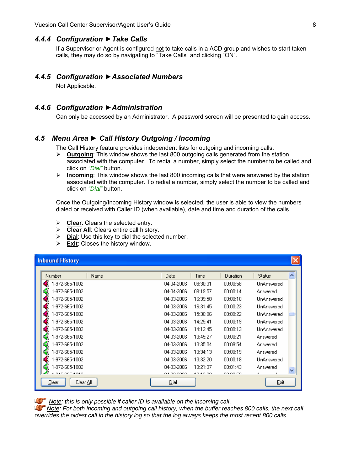#### *4.4.4 Configuration ►Take Calls*

If a Supervisor or Agent is configured not to take calls in a ACD group and wishes to start taken calls, they may do so by navigating to "Take Calls" and clicking "ON".

#### *4.4.5 Configuration ►Associated Numbers*

Not Applicable.

#### *4.4.6 Configuration ►Administration*

Can only be accessed by an Administrator. A password screen will be presented to gain access.

#### *4.5 Menu Area ► Call History Outgoing / Incoming*

The Call History feature provides independent lists for outgoing and incoming calls.

- ¾ **Outgoing**: This window shows the last 800 outgoing calls generated from the station associated with the computer. To redial a number, simply select the number to be called and click on *"Dial"* button.
- ¾ **Incoming**: This window shows the last 800 incoming calls that were answered by the station associated with the computer. To redial a number, simply select the number to be called and click on *"Dial"* button.

Once the Outgoing/Incoming History window is selected, the user is able to view the numbers dialed or received with Caller ID (when available), date and time and duration of the calls.

- ¾ **Clear**: Clears the selected entry.
- ¾ **Clear All**: Clears entire call history.
- ¾ **Dial**: Use this key to dial the selected number.
- ¾ **Exit**: Closes the history window.

| <b>Inbound History</b> |      |            |          |          |               |                     |
|------------------------|------|------------|----------|----------|---------------|---------------------|
| Number                 | Name | Date       | Time     | Duration | <b>Status</b> | $\hat{\phantom{a}}$ |
| -972-665-1002          |      | 04-04-2006 | 08:30:31 | 00:00:58 | UnAnswered    |                     |
| -972-665-1002          |      | 04-04-2006 | 08:19:57 | 00:00:14 | Answered      |                     |
| -972-665-1002          |      | 04-03-2006 | 16:39:58 | 00:00:10 | UnAnswered    |                     |
| -972-665-1002          |      | 04-03-2006 | 16:31:45 | 00:00:23 | UnAnswered    |                     |
| -972-665-1002          |      | 04-03-2006 | 15:36:06 | 00:00:22 | UnAnswered    |                     |
| -972-665-1002          |      | 04-03-2006 | 14:25:41 | 00:00:19 | UnAnswered    |                     |
| -972-665-1002          |      | 04-03-2006 | 14:12:45 | 00:00:13 | UnAnswered    |                     |
| -972-665-1002          |      | 04-03-2006 | 13:45:27 | 00:00:21 | Answered      |                     |
| -972-665-1002          |      | 04-03-2006 | 13:35:04 | 00:09:54 | Answered      |                     |
| -972-665-1002          |      | 04-03-2006 | 13:34:13 | 00:00:19 | Answered      |                     |
| -972-665-1002          |      | 04-03-2006 | 13:32:20 | 00:00:18 | UnAnswered    |                     |
| -972-665-1002          |      | 04-03-2006 | 13:21:37 | 00:01:43 | Answered      |                     |
| <b>BLOWE COE BOACH</b> |      | o Loo pooc | 10.10.00 | oo oo no |               |                     |
| Clear<br>Clear All I   |      | Dial       |          |          | Exit          |                     |

*Note: this is only possible if caller ID is available on the incoming call*.

*Note: For both incoming and outgoing call history, when the buffer reaches 800 calls, the next call overrides the oldest call in the history log so that the log always keeps the most recent 800 calls.*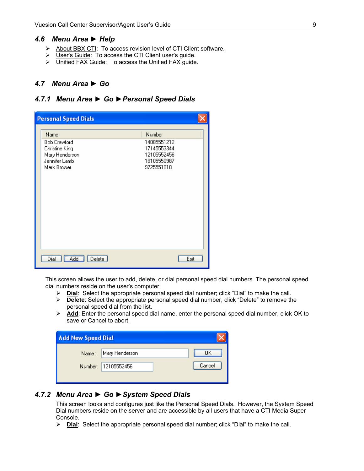#### *4.6 Menu Area ► Help*

- ¾ About BBX CTI: To access revision level of CTI Client software.
- ¾ User's Guide: To access the CTI Client user's guide.
- ¾ Unified FAX Guide: To access the Unified FAX guide.

#### *4.7 Menu Area ► Go*

#### *4.7.1 Menu Area ► Go ►Personal Speed Dials*

| <b>Personal Speed Dials</b>                                                                     |                                                                                  |      |
|-------------------------------------------------------------------------------------------------|----------------------------------------------------------------------------------|------|
| Name<br><b>Bob Crawford</b><br>Christine King<br>Mary Henderson<br>Jennifer Lamb<br>Mark Brower | Number<br>14085551212<br>17145553344<br>12105552456<br>18105550987<br>9725551010 |      |
| Add<br>Dial<br>Delete                                                                           |                                                                                  | Exit |

This screen allows the user to add, delete, or dial personal speed dial numbers. The personal speed dial numbers reside on the user's computer.

- ¾ **Dial**: Select the appropriate personal speed dial number; click "Dial" to make the call.
- ¾ **Delete**: Select the appropriate personal speed dial number, click "Delete" to remove the personal speed dial from the list.
- ¾ **Add**: Enter the personal speed dial name, enter the personal speed dial number, click OK to save or Cancel to abort.

| <b>Add New Speed Dial</b> |                      |        |
|---------------------------|----------------------|--------|
|                           | Name: Mary Henderson | OΚ     |
|                           | Number: 12105552456  | Cancel |
|                           |                      |        |

#### *4.7.2 Menu Area ► Go ►System Speed Dials*

This screen looks and configures just like the Personal Speed Dials. However, the System Speed Dial numbers reside on the server and are accessible by all users that have a CTI Media Super Console.

¾ **Dial**: Select the appropriate personal speed dial number; click "Dial" to make the call.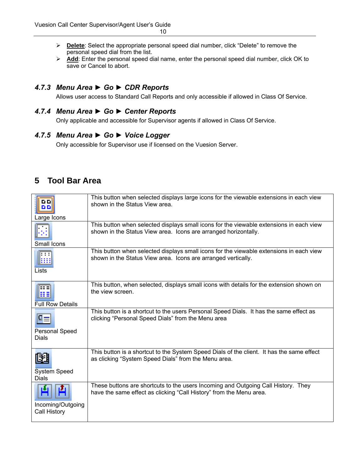- ¾ **Delete**: Select the appropriate personal speed dial number, click "Delete" to remove the personal speed dial from the list.
- ¾ **Add**: Enter the personal speed dial name, enter the personal speed dial number, click OK to save or Cancel to abort.

#### *4.7.3 Menu Area ► Go ► CDR Reports*

Allows user access to Standard Call Reports and only accessible if allowed in Class Of Service.

#### *4.7.4 Menu Area ► Go ► Center Reports*

Only applicable and accessible for Supervisor agents if allowed in Class Of Service.

#### *4.7.5 Menu Area ► Go ► Voice Logger*

Only accessible for Supervisor use if licensed on the Vuesion Server.

### **5 Tool Bar Area**

| DD.<br>DD.<br>Large Icons             | This button when selected displays large icons for the viewable extensions in each view<br>shown in the Status View area.                                  |
|---------------------------------------|------------------------------------------------------------------------------------------------------------------------------------------------------------|
| Small Icons                           | This button when selected displays small icons for the viewable extensions in each view<br>shown in the Status View area. Icons are arranged horizontally. |
| : : :<br>ш<br>Lists                   | This button when selected displays small icons for the viewable extensions in each view<br>shown in the Status View area. Icons are arranged vertically.   |
| ⊞≣<br><b>Full Row Details</b>         | This button, when selected, displays small icons with details for the extension shown on<br>the view screen.                                               |
| <b>Personal Speed</b><br><b>Dials</b> | This button is a shortcut to the users Personal Speed Dials. It has the same effect as<br>clicking "Personal Speed Dials" from the Menu area               |
| $\mathbb H$<br>System Speed<br>Dials  | This button is a shortcut to the System Speed Dials of the client. It has the same effect<br>as clicking "System Speed Dials" from the Menu area.          |
| Incoming/Outgoing<br>Call History     | These buttons are shortcuts to the users Incoming and Outgoing Call History. They<br>have the same effect as clicking "Call History" from the Menu area.   |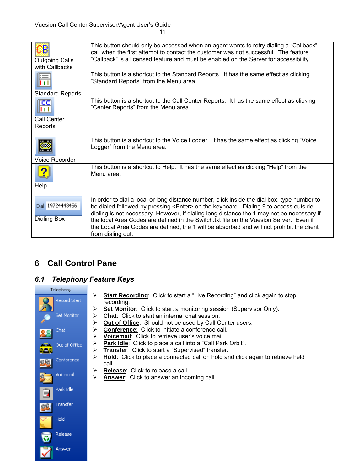| <b>Outgoing Calls</b><br>with Callbacks                   | This button should only be accessed when an agent wants to retry dialing a "Callback"<br>call when the first attempt to contact the customer was not successful. The feature<br>"Callback" is a licensed feature and must be enabled on the Server for accessibility.                                                                                                                                                                                                                                   |
|-----------------------------------------------------------|---------------------------------------------------------------------------------------------------------------------------------------------------------------------------------------------------------------------------------------------------------------------------------------------------------------------------------------------------------------------------------------------------------------------------------------------------------------------------------------------------------|
| ⊫≔<br>Ш                                                   | This button is a shortcut to the Standard Reports. It has the same effect as clicking<br>"Standard Reports" from the Menu area.                                                                                                                                                                                                                                                                                                                                                                         |
| Standard Reports<br>œ<br>11 I I<br>Call Center<br>Reports | This button is a shortcut to the Call Center Reports. It has the same effect as clicking<br>"Center Reports" from the Menu area.                                                                                                                                                                                                                                                                                                                                                                        |
| <b>Voice Recorder</b>                                     | This button is a shortcut to the Voice Logger. It has the same effect as clicking "Voice<br>Logger" from the Menu area.                                                                                                                                                                                                                                                                                                                                                                                 |
| Help                                                      | This button is a shortcut to Help. It has the same effect as clicking "Help" from the<br>Menu area.                                                                                                                                                                                                                                                                                                                                                                                                     |
| Dial 19724443456<br>Dialing Box                           | In order to dial a local or long distance number, click inside the dial box, type number to<br>be dialed followed by pressing <enter> on the keyboard. Dialing 9 to access outside<br/>dialing is not necessary. However, if dialing long distance the 1 may not be necessary if<br/>the local Area Codes are defined in the Switch txt file on the Vuesion Server. Even if<br/>the Local Area Codes are defined, the 1 will be absorbed and will not prohibit the client<br/>from dialing out.</enter> |

## **6 Call Control Pane**

### *6.1 Telephony Feature Keys*



- ¾ **Start Recording**: Click to start a "Live Recording" and click again to stop recording.
- ¾ **Set Monitor**: Click to start a monitoring session (Supervisor Only).
- ¾ **Chat**: Click to start an internal chat session.
- ¾ **Out of Office**: Should not be used by Call Center users.
- ¾ **Conference**: Click to initiate a conference call.
- 
- **EXA Voicemail:** Click to retrieve user's voice mail.<br>
► **Park Idle:** Click to place a call into a "Call Park Park Idle: Click to place a call into a "Call Park Orbit".
- ¾ **Transfer**: Click to start a "Supervised" transfer.
- ¾ **Hold**: Click to place a connected call on hold and click again to retrieve held call.
- ¾ **Release**: Click to release a call.
- ¾ **Answer**: Click to answer an incoming call.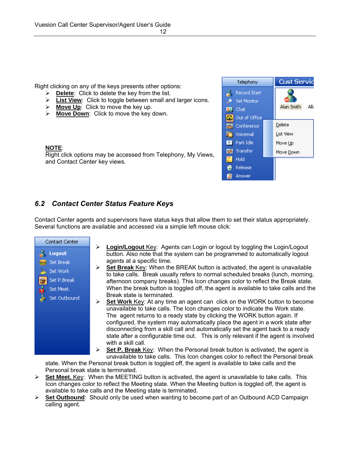Right clicking on any of the keys presents other options:

- ¾ **Delete**: Click to delete the key from the list.
- ¾ **List View**: Click to toggle between small and larger icons.
- ¾ **Move Up**: Click to move the key up.
- ¾ **Move Down**: Click to move the key down.

#### **NOTE**:

Right click options may be accessed from Telephony, My Views, and Contact Center key views.



### *6.2 Contact Center Status Feature Keys*

Contact Center agents and supervisors have status keys that allow them to set their status appropriately. Several functions are available and accessed via a simple left mouse click:



- **Login/Logout Key:** Agents can Login or logout by toggling the Login/Logout button. Also note that the system can be programmed to automatically logout agents at a specific time.
- **Set Break** Key: When the BREAK button is activated, the agent is unavailable to take calls. Break usually refers to normal scheduled breaks (lunch, morning, afternoon company breaks). This Icon changes color to reflect the Break state. When the break button is toggled off, the agent is available to take calls and the Break state is terminated.
- ¾ **Set Work** Key: At any time an agent can click on the WORK button to become unavailable to take calls. The Icon changes color to indicate the Work state. The agent returns to a ready state by clicking the WORK button again. If configured, the system may automatically place the agent in a work state after disconnecting from a skill call and automatically set the agent back to a ready state after a configurable time out. This is only relevant if the agent is involved with a skill call.

**Set P. Break** Key: When the Personal break button is activated, the agent is unavailable to take calls. This Icon changes color to reflect the Personal break

state. When the Personal break button is toggled off, the agent is available to take calls and the Personal break state is terminated.

- ¾ **Set Meet.** Key: When the MEETING button is activated, the agent is unavailable to take calls. This Icon changes color to reflect the Meeting state. When the Meeting button is toggled off, the agent is available to take calls and the Meeting state is terminated.
- ¾ **Set Outbound**: Should only be used when wanting to become part of an Outbound ACD Campaign calling agent.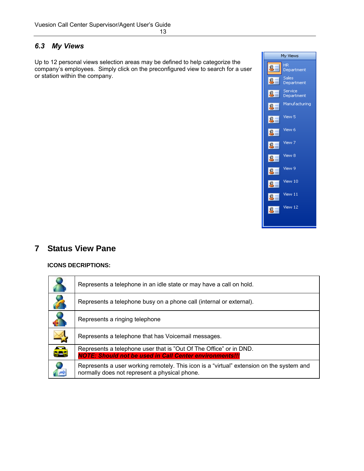#### *6.3 My Views*

Up to 12 personal views selection areas may be defined to help categorize the company's employees. Simply click on the preconfigured view to search for a user or station within the company.



### **7 Status View Pane**

#### **ICONS DECRIPTIONS:**

|          | Represents a telephone in an idle state or may have a call on hold.                                                                       |
|----------|-------------------------------------------------------------------------------------------------------------------------------------------|
| 7        | Represents a telephone busy on a phone call (internal or external).                                                                       |
|          | Represents a ringing telephone                                                                                                            |
|          | Represents a telephone that has Voicemail messages.                                                                                       |
| .<br>229 | Represents a telephone user that is "Out Of The Office" or in DND.<br><b>NOTE: Should not be used in Call Center environments!!!</b>      |
|          | Represents a user working remotely. This icon is a "virtual" extension on the system and<br>normally does not represent a physical phone. |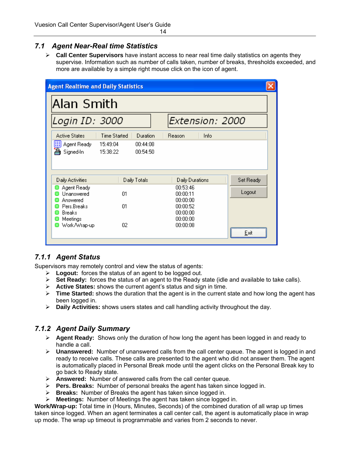### *7.1 Agent Near-Real time Statistics*

¾ **Call Center Supervisors** have instant access to near real time daily statistics on agents they supervise. Information such as number of calls taken, number of breaks, thresholds exceeded, and more are available by a simple right mouse click on the icon of agent.

| <b>Agent Realtime and Daily Statistics</b>   |                      |                      |                                  |                 |           |
|----------------------------------------------|----------------------|----------------------|----------------------------------|-----------------|-----------|
| Alan Smith                                   |                      |                      |                                  |                 |           |
| Login ID: 3000                               |                      |                      |                                  | Extension: 2000 |           |
| <b>Active States</b>                         | <b>Time Started</b>  | Duration             | Reason                           | Info            |           |
| <b>EE</b> Agent Ready<br>A<br>Signed-In      | 15:49:04<br>15:38:22 | 00:44:08<br>00:54:50 |                                  |                 |           |
| Daily Activities                             |                      | Daily Totals         | Daily Durations                  |                 | Set Ready |
| Agent Ready<br><b>Hnanswered</b><br>Answered | $\Omega$ 1           |                      | 00:53:46<br>00:00:11<br>00:00:00 |                 | Logout    |
| Pers.Breaks<br><b>Breaks</b><br>Meetings     | $\Omega$ 1           |                      | 00:00:52<br>00:00:00<br>00:00:00 |                 |           |
| Work/Wrap-up                                 | 02                   |                      | 00:00:08                         |                 | Exit      |

#### *7.1.1 Agent Status*

Supervisors may remotely control and view the status of agents:

- ¾ **Logout:** forces the status of an agent to be logged out.
- ¾ **Set Ready:** forces the status of an agent to the Ready state (idle and available to take calls).
- ¾ **Active States:** shows the current agent's status and sign in time.
- ¾ **Time Started:** shows the duration that the agent is in the current state and how long the agent has been logged in.
- ¾ **Daily Activities:** shows users states and call handling activity throughout the day.

#### *7.1.2 Agent Daily Summary*

- ¾ **Agent Ready:** Shows only the duration of how long the agent has been logged in and ready to handle a call.
- ¾ **Unanswered:** Number of unanswered calls from the call center queue. The agent is logged in and ready to receive calls. These calls are presented to the agent who did not answer them. The agent is automatically placed in Personal Break mode until the agent clicks on the Personal Break key to go back to Ready state.
- ¾ **Answered:** Number of answered calls from the call center queue.
- ¾ **Pers. Breaks:** Number of personal breaks the agent has taken since logged in.
- ¾ **Breaks:** Number of Breaks the agent has taken since logged in.
- ¾ **Meetings:** Number of Meetings the agent has taken since logged in.

**Work/Wrap-up:** Total time in (Hours, Minutes, Seconds) of the combined duration of all wrap up times taken since logged. When an agent terminates a call center call, the agent is automatically place in wrap up mode. The wrap up timeout is programmable and varies from 2 seconds to never.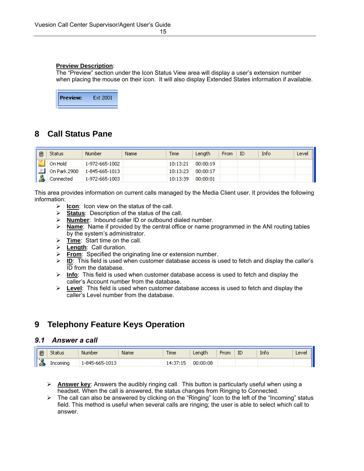#### **Preview Description**:

The "Preview" section under the Icon Status View area will display a user's extension number when placing the mouse on their icon. It will also display Extended States information if available.



### **8 Call Status Pane**

| 圓 | Status       | Number         | Name | Time     | Length   | From | ΙD | Info | Level |
|---|--------------|----------------|------|----------|----------|------|----|------|-------|
|   | On Hold      | 1-972-665-1002 |      | 10:13:21 | 00:00:19 |      |    |      |       |
|   | On Park 2900 | 1-845-665-1013 |      | 10:13:23 | 00:00:17 |      |    |      |       |
|   | Connected    | 1-972-665-1003 |      | 10:13:39 | 00:00:01 |      |    |      |       |

This area provides information on current calls managed by the Media Client user. It provides the following information:

- ¾ **Icon**: Icon view on the status of the call.
- ¾ **Status**: Description of the status of the call.
- ¾ **Number**: Inbound caller ID or outbound dialed number.
- ¾ **Name**: Name if provided by the central office or name programmed in the ANI routing tables by the system's administrator.
- ¾ **Time**: Start time on the call.
- ¾ **Length**: Call duration.
- **From:** Specified the originating line or extension number.
- ¾ **ID**: This field is used when customer database access is used to fetch and display the caller's ID from the database.
- ¾ **Info**: This field is used when customer database access is used to fetch and display the caller's Account number from the database.
- ¾ **Level**: This field is used when customer database access is used to fetch and display the caller's Level number from the database.

### **9 Telephony Feature Keys Operation**

#### *9.1 Answer a call*

| ® |          | Number                 | Name | Time | Length   | From | ID | Info | 0.14<br>Ш |
|---|----------|------------------------|------|------|----------|------|----|------|-----------|
| н | Incoming | 1013<br>. 1-845-665-11 |      |      | 00:00:08 |      |    |      | I         |

- ¾ **Answer key**: Answers the audibly ringing call. This button is particularly useful when using a headset. When the call is answered, the status changes from Ringing to Connected.
- $\triangleright$  The call can also be answered by clicking on the "Ringing" Icon to the left of the "Incoming" status field. This method is useful when several calls are ringing; the user is able to select which call to answer.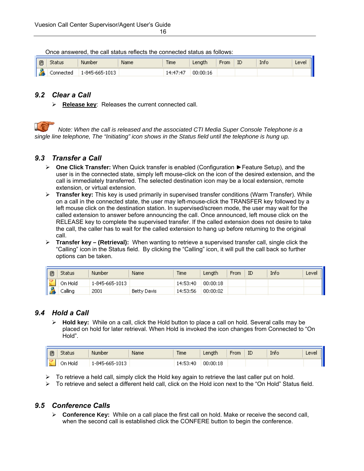| ® | Status    | Number         | Name | <b>Time</b> | Length:  | From | ID | Info | Level |
|---|-----------|----------------|------|-------------|----------|------|----|------|-------|
| œ | Connected | 1-845-665-1013 |      | 14.47.47    | 00:00:16 |      |    |      |       |

Once answered, the call status reflects the connected status as follows:

#### *9.2 Clear a Call*

¾ **Release key**: Releases the current connected call.

*Note: When the call is released and the associated CTI Media Super Console Telephone is a single line telephone, The "Initiating" icon shows in the Status field until the telephone is hung up.* 

#### *9.3 Transfer a Call*

- ¾ **One Click Transfer:** When Quick transfer is enabled (Configuration ►Feature Setup), and the user is in the connected state, simply left mouse-click on the icon of the desired extension, and the call is immediately transferred. The selected destination icon may be a local extension, remote extension, or virtual extension.
- ¾ **Transfer key:** This key is used primarily in supervised transfer conditions (Warm Transfer). While on a call in the connected state, the user may left-mouse-click the TRANSFER key followed by a left mouse click on the destination station. In supervised/screen mode, the user may wait for the called extension to answer before announcing the call. Once announced, left mouse click on the RELEASE key to complete the supervised transfer. If the called extension does not desire to take the call, the caller has to wait for the called extension to hang up before returning to the original call.
- ¾ **Transfer key (Retrieval):** When wanting to retrieve a supervised transfer call, single click the "Calling" icon in the Status field. By clicking the "Calling" icon, it will pull the call back so further options can be taken.

| 圓               | Status  | Number         | Name               | <b>Time</b> | Length'  | <b>From</b> | ID | Info | Level |
|-----------------|---------|----------------|--------------------|-------------|----------|-------------|----|------|-------|
|                 | On Hold | 1-845-665-1013 |                    | 14:53:40    | 00:00:18 |             |    |      |       |
| <b>CONTRACT</b> | Jalling | 2001           | <b>Betty Davis</b> | 14:53:56    | 00:00:02 |             |    |      |       |

#### *9.4 Hold a Call*

¾ **Hold key:** While on a call, click the Hold button to place a call on hold. Several calls may be placed on hold for later retrieval. When Hold is invoked the icon changes from Connected to "On Hold".

| 圓 | tatus      | Number            | Name | <b>Time</b>              | Length   | From | ID | Info | Level |
|---|------------|-------------------|------|--------------------------|----------|------|----|------|-------|
|   | Hold<br>JГ | 1013<br>-845-665- |      | 3:40<br>$-14.57$<br>エルシン | 00:00:18 |      |    |      |       |

- $\triangleright$  To retrieve a held call, simply click the Hold key again to retrieve the last caller put on hold.
- $\triangleright$  To retrieve and select a different held call, click on the Hold icon next to the "On Hold" Status field.

#### *9.5 Conference Calls*

¾ **Conference Key:** While on a call place the first call on hold. Make or receive the second call, when the second call is established click the CONFERE button to begin the conference.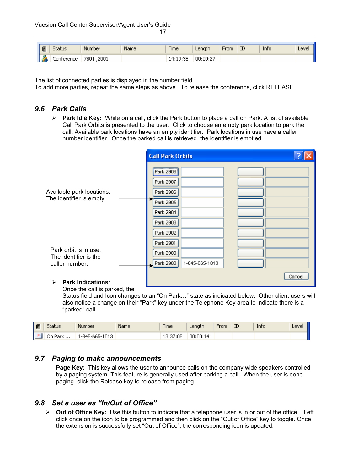17 and 17 and 17 and 17 and 17 and 17 and 17 and 17 and 17 and 17 and 17 and 17 and 17 and 17 and 17 and 17 an

| I®          | status     | Number        | Name | <b>Time</b> | Lenath   | From | ID | Info | Level |
|-------------|------------|---------------|------|-------------|----------|------|----|------|-------|
| <b>Page</b> | Conterence | ,2001<br>7801 |      | 14:19:35    | 00:00:27 |      |    |      |       |

The list of connected parties is displayed in the number field.

To add more parties, repeat the same steps as above. To release the conference, click RELEASE.

#### *9.6 Park Calls*

¾ **Park Idle Key:** While on a call, click the Park button to place a call on Park. A list of available Call Park Orbits is presented to the user. Click to choose an empty park location to park the call. Available park locations have an empty identifier. Park locations in use have a caller number identifier. Once the parked call is retrieved, the identifier is emptied.

|                                                                  | <b>Call Park Orbits</b>                                                                 |        |
|------------------------------------------------------------------|-----------------------------------------------------------------------------------------|--------|
| Available park locations.<br>The identifier is empty             | Park 2908<br>Park 2907<br>Park 2906<br>Park 2905<br>Park 2904<br>Park 2903<br>Park 2902 |        |
| Park orbit is in use.<br>The identifier is the<br>caller number. | Park 2901<br>Park 2909<br>Park 2900<br>1-845-665-1013                                   |        |
| <b>Park Indications:</b><br>⋗                                    |                                                                                         | Cancel |

Once the call is parked, the

Status field and Icon changes to an "On Park…" state as indicated below. Other client users will also notice a change on their "Park" key under the Telephone Key area to indicate there is a "parked" call.

| $\mathbb{B}$ | tatus      | Number               | Name | <b>Time</b>                        | enati.   | From | ID | Info | ever<br>-- |
|--------------|------------|----------------------|------|------------------------------------|----------|------|----|------|------------|
|              | Park<br>On | 1013<br>1-845-665-11 |      | $\alpha$ OF .<br>niuc,<br>ر بې باب | 00:00:14 |      |    |      | . .        |

#### *9.7 Paging to make announcements*

Page Key: This key allows the user to announce calls on the company wide speakers controlled by a paging system. This feature is generally used after parking a call. When the user is done paging, click the Release key to release from paging.

#### *9.8 Set a user as "In/Out of Office"*

¾ **Out of Office Key:** Use this button to indicate that a telephone user is in or out of the office. Left click once on the icon to be programmed and then click on the "Out of Office" key to toggle. Once the extension is successfully set "Out of Office", the corresponding icon is updated.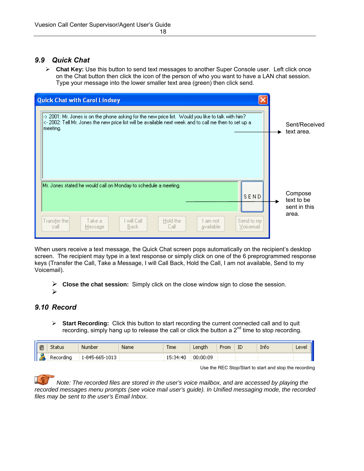#### *9.9 Quick Chat*

¾ **Chat Key:** Use this button to send text messages to another Super Console user. Left click once on the Chat button then click the icon of the person of who you want to have a LAN chat session. Type your message into the lower smaller text area (green) then click send.

| <b>Quick Chat with Carol Lindsey</b><br>$\ket{\cdot}$ 2001: Mr. Jones is on the phone asking for the new price list. Would you like to talk with him?<br>$\left <\right.$ 2002: Tell Mr. Jones the new price list will be available next week and to call me then to set up a<br>meeting. | Sent/Received                         |
|-------------------------------------------------------------------------------------------------------------------------------------------------------------------------------------------------------------------------------------------------------------------------------------------|---------------------------------------|
|                                                                                                                                                                                                                                                                                           | text area.                            |
| Mr. Jones stated he would call on Monday to schedule a meeting.<br>SEND                                                                                                                                                                                                                   | Compose<br>text to be<br>sent in this |
| Transfer the<br>will Call<br>Hold the<br>Send to my<br>Take a<br>-am not<br>Voicemail<br>call<br>Back.<br>Call<br>available<br>Message                                                                                                                                                    | area.                                 |

When users receive a text message, the Quick Chat screen pops automatically on the recipient's desktop screen. The recipient may type in a text response or simply click on one of the 6 preprogrammed response keys (Transfer the Call, Take a Message, I will Call Back, Hold the Call, I am not available, Send to my Voicemail).

¾ **Close the chat session:** Simply click on the close window sign to close the session.

¾

#### *9.10 Record*

¾ **Start Recording:** Click this button to start recording the current connected call and to quit recording, simply hang up to release the call or click the button a  $2^{nd}$  time to stop recording.

| 圓         | Status    | <b>Number</b>        | Name. | <b>Time</b> | enati.<br>Lor | -rom | ID | mh. | Level |
|-----------|-----------|----------------------|-------|-------------|---------------|------|----|-----|-------|
| a P<br>ТĽ | {ecording | .013<br>--845-665-11 |       | :34:40      | 00:00:09      |      |    |     |       |

Use the REC Stop/Start to start and stop the recording

*Note: The recorded files are stored in the user's voice mailbox, and are accessed by playing the recorded messages menu prompts (see voice mail user's guide). In Unified messaging mode, the recorded files may be sent to the user's Email Inbox*.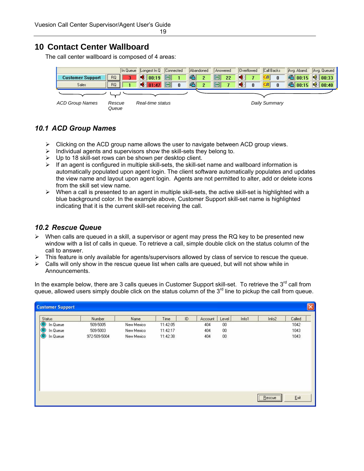### **10 Contact Center Wallboard**

The call center wallboard is composed of 4 areas:

|                         | In Queue        | Longest In Q Connected                  |          |    | Abandoned      | Answered |    | Overflowed |   | Call Backs    |              | Avg. Aband. | Avg. Queued         |
|-------------------------|-----------------|-----------------------------------------|----------|----|----------------|----------|----|------------|---|---------------|--------------|-------------|---------------------|
| <b>Customer Support</b> | <b>RO</b>       | $\big  \big  6 \big  \big  00:19 \big $ |          | G- | $\overline{2}$ |          | 22 | 41         |   | CB            | $\mathbf{0}$ |             | 6 00:15 6 00:33     |
| Sales                   | <b>RQ</b>       | $\bigcirc$ 01:47                        | $\bf{0}$ | (m |                |          |    |            | 0 | <b>B.</b>     | $\bf{0}$     | 6 00:15     | $\frac{1}{2}$ 00:40 |
|                         |                 |                                         |          |    |                |          |    |            |   |               |              |             |                     |
| <b>ACD Group Names</b>  | Rescue<br>Queue | Real-time status                        |          |    |                |          |    |            |   | Daily Summary |              |             |                     |

### *10.1 ACD Group Names*

- $\triangleright$  Clicking on the ACD group name allows the user to navigate between ACD group views.
- $\triangleright$  Individual agents and supervisors show the skill-sets they belong to.
- $\triangleright$  Up to 18 skill-set rows can be shown per desktop client.
- $\triangleright$  If an agent is configured in multiple skill-sets, the skill-set name and wallboard information is automatically populated upon agent login. The client software automatically populates and updates the view name and layout upon agent login. Agents are not permitted to alter, add or delete icons from the skill set view name.
- $\triangleright$  When a call is presented to an agent in multiple skill-sets, the active skill-set is highlighted with a blue background color. In the example above, Customer Support skill-set name is highlighted indicating that it is the current skill-set receiving the call.

#### *10.2 Rescue Queue*

- $\triangleright$  When calls are queued in a skill, a supervisor or agent may press the RQ key to be presented new window with a list of calls in queue. To retrieve a call, simple double click on the status column of the call to answer.
- ¾ This feature is only available for agents/supervisors allowed by class of service to rescue the queue.
- $\triangleright$  Calls will only show in the rescue queue list when calls are queued, but will not show while in Announcements.

In the example below, there are 3 calls queues in Customer Support skill-set. To retrieve the 3<sup>rd</sup> call from queue, allowed users simply double click on the status column of the 3<sup>rd</sup> line to pickup the call from queue.

| <b>Customer Support</b> |              |            |          |    |         |        |       |                   |        | $\boxed{\times}$ |
|-------------------------|--------------|------------|----------|----|---------|--------|-------|-------------------|--------|------------------|
| Status                  | Number       | Name       | Time     | ID | Account | Level  | Info1 | Info <sub>2</sub> | Called |                  |
| In Queue                | 509-5005     | New Mexico | 11:42:05 |    | 404     | 00     |       |                   | 1042   |                  |
| 000<br>In Queue         | 509-5003     | New Mexico | 11:42:17 |    | 404     | 00     |       |                   | 1043   |                  |
| In Queue                | 972-509-5004 | New Mexico | 11:42:38 |    | 404     | $00\,$ |       |                   | 1043   |                  |
|                         |              |            |          |    |         |        |       |                   |        |                  |
|                         |              |            |          |    |         |        |       | Eescue            | Ext    |                  |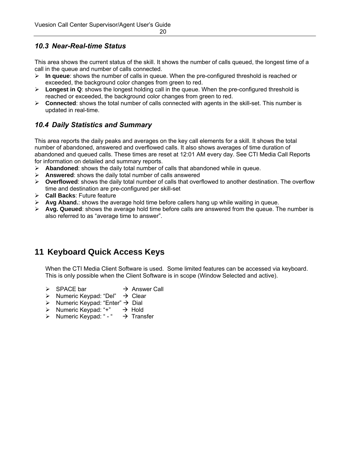### *10.3 Near-Real-time Status*

This area shows the current status of the skill. It shows the number of calls queued, the longest time of a call in the queue and number of calls connected.

- ¾ **In queue**: shows the number of calls in queue. When the pre-configured threshold is reached or exceeded, the background color changes from green to red.
- ¾ **Longest in Q**: shows the longest holding call in the queue. When the pre-configured threshold is reached or exceeded, the background color changes from green to red.
- ¾ **Connected**: shows the total number of calls connected with agents in the skill-set. This number is updated in real-time.

### *10.4 Daily Statistics and Summary*

This area reports the daily peaks and averages on the key call elements for a skill. It shows the total number of abandoned, answered and overflowed calls. It also shows averages of time duration of abandoned and queued calls. These times are reset at 12:01 AM every day. See CTI Media Call Reports for information on detailed and summary reports.

- $\triangleright$  **Abandoned**: shows the daily total number of calls that abandoned while in queue.
- ¾ **Answered**: shows the daily total number of calls answered
- ¾ **Overflowed**: shows the daily total number of calls that overflowed to another destination. The overflow time and destination are pre-configured per skill-set
- ¾ **Call Backs**: Future feature
- $\triangleright$  **Avg Aband.**: shows the average hold time before callers hang up while waiting in queue.
- $\triangleright$  **Avg. Queued**: shows the average hold time before calls are answered from the queue. The number is also referred to as "average time to answer".

### **11 Keyboard Quick Access Keys**

When the CTI Media Client Software is used. Some limited features can be accessed via keyboard. This is only possible when the Client Software is in scope (Window Selected and active).

- $\triangleright$  SPACE bar  $\rightarrow$  Answer Call
- $\triangleright$  Numeric Keypad: "Del"  $\rightarrow$  Clear
- $\triangleright$  Numeric Keypad: "Enter"  $\rightarrow$  Dial
- $\triangleright$  Numeric Keypad: "+"  $\rightarrow$  Hold
- $\triangleright$  Numeric Keypad: " "  $\rightarrow$  Transfer